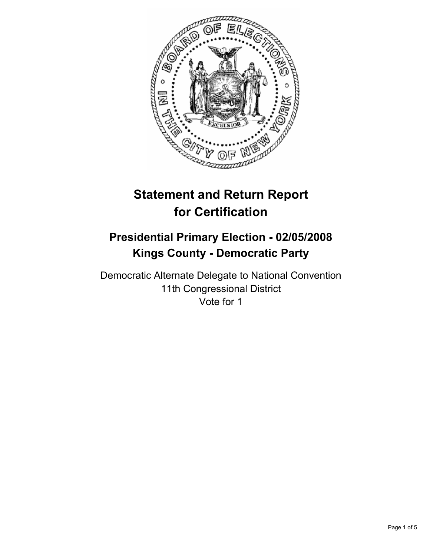

# **Statement and Return Report for Certification**

## **Presidential Primary Election - 02/05/2008 Kings County - Democratic Party**

Democratic Alternate Delegate to National Convention 11th Congressional District Vote for 1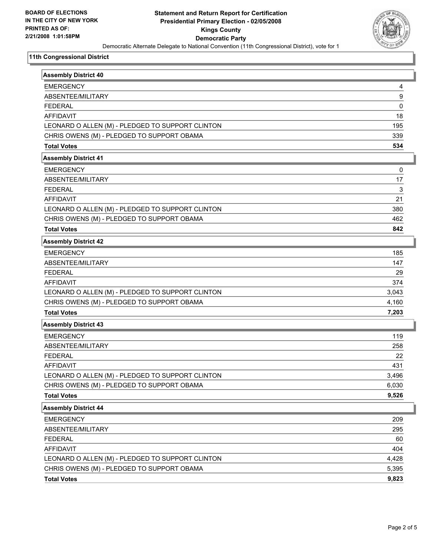

#### **11th Congressional District**

| <b>Assembly District 40</b>                      |       |
|--------------------------------------------------|-------|
|                                                  |       |
| <b>EMERGENCY</b>                                 | 4     |
| ABSENTEE/MILITARY                                | 9     |
| <b>FEDERAL</b>                                   | 0     |
| <b>AFFIDAVIT</b>                                 | 18    |
| LEONARD O ALLEN (M) - PLEDGED TO SUPPORT CLINTON | 195   |
| CHRIS OWENS (M) - PLEDGED TO SUPPORT OBAMA       | 339   |
| <b>Total Votes</b>                               | 534   |
| <b>Assembly District 41</b>                      |       |
| <b>EMERGENCY</b>                                 | 0     |
| ABSENTEE/MILITARY                                | 17    |
| <b>FEDERAL</b>                                   | 3     |
| <b>AFFIDAVIT</b>                                 | 21    |
| LEONARD O ALLEN (M) - PLEDGED TO SUPPORT CLINTON | 380   |
| CHRIS OWENS (M) - PLEDGED TO SUPPORT OBAMA       | 462   |
| <b>Total Votes</b>                               | 842   |
| <b>Assembly District 42</b>                      |       |
| <b>EMERGENCY</b>                                 | 185   |
| ABSENTEE/MILITARY                                | 147   |
| <b>FEDERAL</b>                                   | 29    |
| <b>AFFIDAVIT</b>                                 | 374   |
| LEONARD O ALLEN (M) - PLEDGED TO SUPPORT CLINTON | 3,043 |
| CHRIS OWENS (M) - PLEDGED TO SUPPORT OBAMA       | 4,160 |
| <b>Total Votes</b>                               | 7,203 |
| <b>Assembly District 43</b>                      |       |
| <b>EMERGENCY</b>                                 | 119   |
| ABSENTEE/MILITARY                                | 258   |
| <b>FEDERAL</b>                                   | 22    |
| <b>AFFIDAVIT</b>                                 | 431   |
| LEONARD O ALLEN (M) - PLEDGED TO SUPPORT CLINTON | 3,496 |
| CHRIS OWENS (M) - PLEDGED TO SUPPORT OBAMA       | 6,030 |
| <b>Total Votes</b>                               | 9,526 |
| <b>Assembly District 44</b>                      |       |
| <b>EMERGENCY</b>                                 | 209   |
| ABSENTEE/MILITARY                                | 295   |
| <b>FEDERAL</b>                                   | 60    |
| AFFIDAVIT                                        | 404   |
| LEONARD O ALLEN (M) - PLEDGED TO SUPPORT CLINTON | 4,428 |
| CHRIS OWENS (M) - PLEDGED TO SUPPORT OBAMA       | 5,395 |
| <b>Total Votes</b>                               | 9,823 |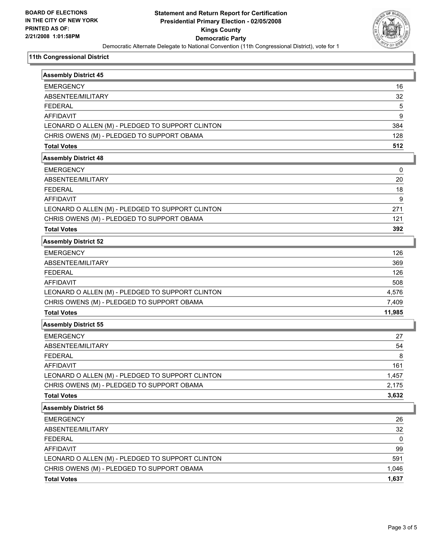

#### **11th Congressional District**

| <b>Assembly District 45</b>                      |        |
|--------------------------------------------------|--------|
| <b>EMERGENCY</b>                                 | 16     |
| ABSENTEE/MILITARY                                | 32     |
| <b>FEDERAL</b>                                   | 5      |
| <b>AFFIDAVIT</b>                                 | 9      |
| LEONARD O ALLEN (M) - PLEDGED TO SUPPORT CLINTON | 384    |
| CHRIS OWENS (M) - PLEDGED TO SUPPORT OBAMA       | 128    |
| <b>Total Votes</b>                               | 512    |
| <b>Assembly District 48</b>                      |        |
| <b>EMERGENCY</b>                                 | 0      |
| ABSENTEE/MILITARY                                | 20     |
| <b>FEDERAL</b>                                   | 18     |
| <b>AFFIDAVIT</b>                                 | 9      |
| LEONARD O ALLEN (M) - PLEDGED TO SUPPORT CLINTON | 271    |
| CHRIS OWENS (M) - PLEDGED TO SUPPORT OBAMA       | 121    |
| <b>Total Votes</b>                               | 392    |
| <b>Assembly District 52</b>                      |        |
| <b>EMERGENCY</b>                                 | 126    |
| ABSENTEE/MILITARY                                | 369    |
| <b>FEDERAL</b>                                   | 126    |
| <b>AFFIDAVIT</b>                                 | 508    |
| LEONARD O ALLEN (M) - PLEDGED TO SUPPORT CLINTON | 4,576  |
| CHRIS OWENS (M) - PLEDGED TO SUPPORT OBAMA       | 7,409  |
| <b>Total Votes</b>                               | 11,985 |
| <b>Assembly District 55</b>                      |        |
| <b>EMERGENCY</b>                                 | 27     |
| ABSENTEE/MILITARY                                | 54     |
| <b>FEDERAL</b>                                   | 8      |
| <b>AFFIDAVIT</b>                                 | 161    |
| LEONARD O ALLEN (M) - PLEDGED TO SUPPORT CLINTON | 1,457  |
| CHRIS OWENS (M) - PLEDGED TO SUPPORT OBAMA       | 2,175  |
| <b>Total Votes</b>                               | 3,632  |
| <b>Assembly District 56</b>                      |        |
| <b>EMERGENCY</b>                                 | 26     |
| ABSENTEE/MILITARY                                | 32     |
| <b>FEDERAL</b>                                   | 0      |
| AFFIDAVIT                                        | 99     |
| LEONARD O ALLEN (M) - PLEDGED TO SUPPORT CLINTON | 591    |
| CHRIS OWENS (M) - PLEDGED TO SUPPORT OBAMA       | 1,046  |
| <b>Total Votes</b>                               | 1,637  |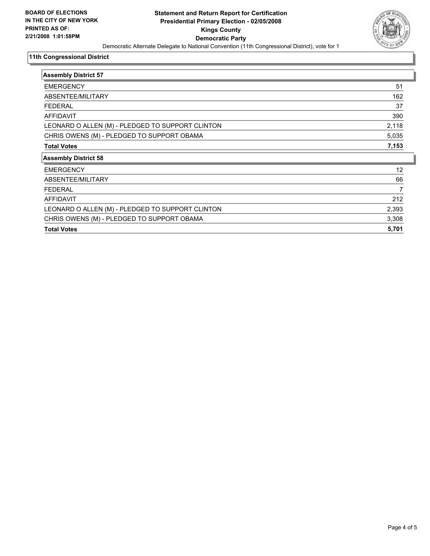

#### **11th Congressional District**

| <b>Assembly District 57</b>                      |       |
|--------------------------------------------------|-------|
| <b>EMERGENCY</b>                                 | 51    |
| ABSENTEE/MILITARY                                | 162   |
| <b>FEDERAL</b>                                   | 37    |
| <b>AFFIDAVIT</b>                                 | 390   |
| LEONARD O ALLEN (M) - PLEDGED TO SUPPORT CLINTON | 2,118 |
| CHRIS OWENS (M) - PLEDGED TO SUPPORT OBAMA       | 5,035 |
| <b>Total Votes</b>                               | 7,153 |
| <b>Assembly District 58</b>                      |       |
| <b>EMERGENCY</b>                                 | 12    |
| ABSENTEE/MILITARY                                | 66    |
| <b>FEDERAL</b>                                   | 7     |
| <b>AFFIDAVIT</b>                                 | 212   |
| LEONARD O ALLEN (M) - PLEDGED TO SUPPORT CLINTON | 2,393 |
| CHRIS OWENS (M) - PLEDGED TO SUPPORT OBAMA       | 3,308 |
| <b>Total Votes</b>                               | 5,701 |